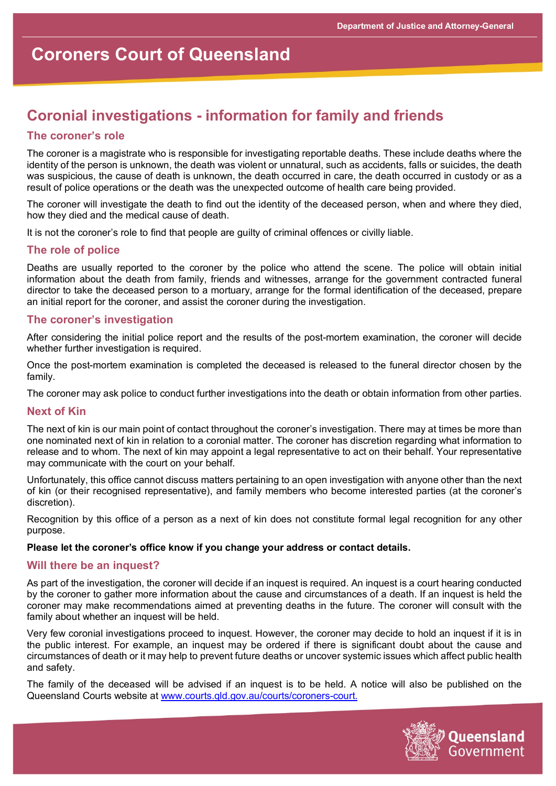# **Coroners Court of Queensland**

# **Coronial investigations - information for family and friends**

# **The coroner's role**

The coroner is a magistrate who is responsible for investigating reportable deaths. These include deaths where the identity of the person is unknown, the death was violent or unnatural, such as accidents, falls or suicides, the death was suspicious, the cause of death is unknown, the death occurred in care, the death occurred in custody or as a result of police operations or the death was the unexpected outcome of health care being provided.

The coroner will investigate the death to find out the identity of the deceased person, when and where they died, how they died and the medical cause of death.

It is not the coroner's role to find that people are guilty of criminal offences or civilly liable.

# **The role of police**

Deaths are usually reported to the coroner by the police who attend the scene. The police will obtain initial information about the death from family, friends and witnesses, arrange for the government contracted funeral director to take the deceased person to a mortuary, arrange for the formal identification of the deceased, prepare an initial report for the coroner, and assist the coroner during the investigation.

# **The coroner's investigation**

After considering the initial police report and the results of the post-mortem examination, the coroner will decide whether further investigation is required.

Once the post-mortem examination is completed the deceased is released to the funeral director chosen by the family.

The coroner may ask police to conduct further investigations into the death or obtain information from other parties.

#### **Next of Kin**

The next of kin is our main point of contact throughout the coroner's investigation. There may at times be more than one nominated next of kin in relation to a coronial matter. The coroner has discretion regarding what information to release and to whom. The next of kin may appoint a legal representative to act on their behalf. Your representative may communicate with the court on your behalf.

Unfortunately, this office cannot discuss matters pertaining to an open investigation with anyone other than the next of kin (or their recognised representative), and family members who become interested parties (at the coroner's discretion).

Recognition by this office of a person as a next of kin does not constitute formal legal recognition for any other purpose.

#### **Please let the coroner's office know if you change your address or contact details.**

#### **Will there be an inquest?**

As part of the investigation, the coroner will decide if an inquest is required. An inquest is a court hearing conducted by the coroner to gather more information about the cause and circumstances of a death. If an inquest is held the coroner may make recommendations aimed at preventing deaths in the future. The coroner will consult with the family about whether an inquest will be held.

Very few coronial investigations proceed to inquest. However, the coroner may decide to hold an inquest if it is in the public interest. For example, an inquest may be ordered if there is significant doubt about the cause and circumstances of death or it may help to prevent future deaths or uncover systemic issues which affect public health and safety.

The family of the deceased will be advised if an inquest is to be held. A notice will also be published on the Queensland Courts website at [www.courts.qld.gov.au/courts/coroners-court.](http://www.courts.qld.gov.au/courts/coroners-court)